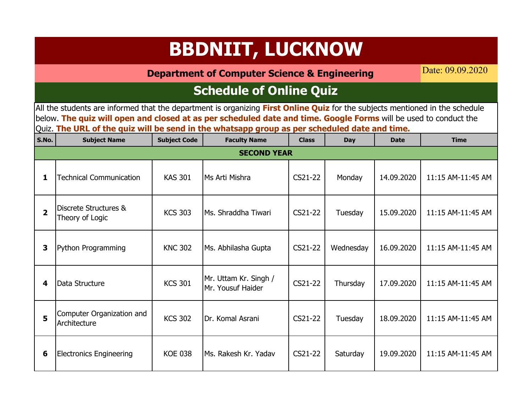**Department of Computer Science & Engineering**

Date: 09.09.2020

### **Schedule of Online Quiz**

| S.No.          | <b>Subject Name</b>                       | <b>Subject Code</b> | <b>Faculty Name</b>                        | <b>Class</b> | Day       | <b>Date</b> | <b>Time</b>       |
|----------------|-------------------------------------------|---------------------|--------------------------------------------|--------------|-----------|-------------|-------------------|
|                |                                           |                     | <b>SECOND YEAR</b>                         |              |           |             |                   |
| 1              | <b>Technical Communication</b>            | <b>KAS 301</b>      | Ms Arti Mishra                             | CS21-22      | Monday    | 14.09.2020  | 11:15 AM-11:45 AM |
| $\overline{2}$ | Discrete Structures &<br>Theory of Logic  | <b>KCS 303</b>      | Ms. Shraddha Tiwari                        | CS21-22      | Tuesday   | 15.09.2020  | 11:15 AM-11:45 AM |
| 3              | Python Programming                        | <b>KNC 302</b>      | Ms. Abhilasha Gupta                        | CS21-22      | Wednesday | 16.09.2020  | 11:15 AM-11:45 AM |
| 4              | Data Structure                            | <b>KCS 301</b>      | Mr. Uttam Kr. Singh /<br>Mr. Yousuf Haider | CS21-22      | Thursday  | 17.09.2020  | 11:15 AM-11:45 AM |
| 5              | Computer Organization and<br>Architecture | <b>KCS 302</b>      | Dr. Komal Asrani                           | CS21-22      | Tuesday   | 18.09.2020  | 11:15 AM-11:45 AM |
| 6              | <b>Electronics Engineering</b>            | <b>KOE 038</b>      | Ms. Rakesh Kr. Yadav                       | CS21-22      | Saturday  | 19.09.2020  | 11:15 AM-11:45 AM |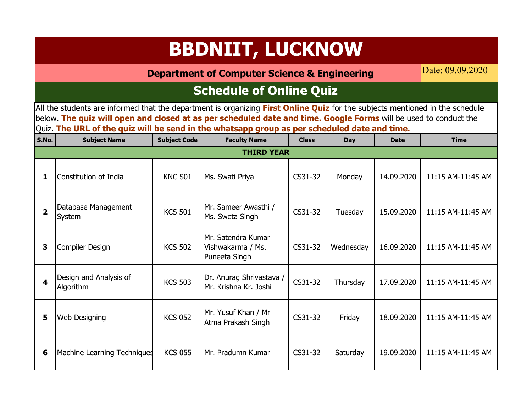**Department of Computer Science & Engineering**

Date: 09.09.2020

### **Schedule of Online Quiz**

| S.No.                   | <b>Subject Name</b>                 | <b>Subject Code</b> | <b>Faculty Name</b>                                      | <b>Class</b> | Day       | <b>Date</b> | <b>Time</b>       |
|-------------------------|-------------------------------------|---------------------|----------------------------------------------------------|--------------|-----------|-------------|-------------------|
|                         |                                     |                     | <b>THIRD YEAR</b>                                        |              |           |             |                   |
| 1                       | Constitution of India               | KNC S01             | Ms. Swati Priya                                          | CS31-32      | Monday    | 14.09.2020  | 11:15 AM-11:45 AM |
| $\overline{\mathbf{z}}$ | Database Management<br>System       | <b>KCS 501</b>      | Mr. Sameer Awasthi /<br>Ms. Sweta Singh                  | CS31-32      | Tuesday   | 15.09.2020  | 11:15 AM-11:45 AM |
| 3                       | Compiler Design                     | <b>KCS 502</b>      | Mr. Satendra Kumar<br>Vishwakarma / Ms.<br>Puneeta Singh | CS31-32      | Wednesday | 16.09.2020  | 11:15 AM-11:45 AM |
| $\blacktriangle$        | Design and Analysis of<br>Algorithm | <b>KCS 503</b>      | Dr. Anurag Shrivastava /<br>Mr. Krishna Kr. Joshi        | CS31-32      | Thursday  | 17.09.2020  | 11:15 AM-11:45 AM |
| 5                       | <b>Web Designing</b>                | <b>KCS 052</b>      | Mr. Yusuf Khan / Mr<br>Atma Prakash Singh                | CS31-32      | Friday    | 18.09.2020  | 11:15 AM-11:45 AM |
| 6                       | <b>Machine Learning Techniques</b>  | <b>KCS 055</b>      | Mr. Pradumn Kumar                                        | CS31-32      | Saturday  | 19.09.2020  | 11:15 AM-11:45 AM |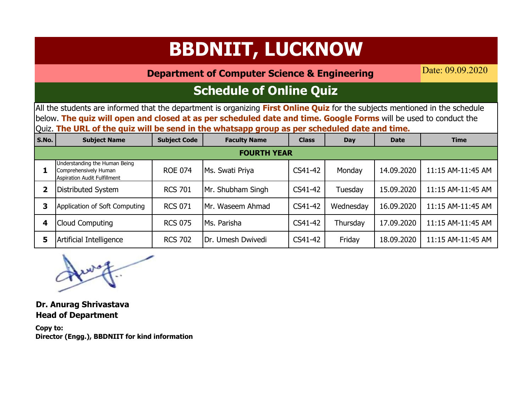**Department of Computer Science & Engineering**

Date: 09.09.2020

### **Schedule of Online Quiz**

All the students are informed that the department is organizing **First Online Quiz** for the subjects mentioned in the schedule below. **The quiz will open and closed at as per scheduled date and time. Google Forms** will be used to conduct the Quiz. **The URL of the quiz will be send in the whatsapp group as per scheduled date and time.**

| S.No. | <b>Subject Name</b>                                                                    | <b>Subject Code</b> | <b>Faculty Name</b> | <b>Class</b> | Day       | <b>Date</b> | <b>Time</b>       |  |  |  |  |  |
|-------|----------------------------------------------------------------------------------------|---------------------|---------------------|--------------|-----------|-------------|-------------------|--|--|--|--|--|
|       | <b>FOURTH YEAR</b>                                                                     |                     |                     |              |           |             |                   |  |  |  |  |  |
|       | Understanding the Human Being<br>Comprehensively Human<br>Aspiration Audit Fulfillment | <b>ROE 074</b>      | Ms. Swati Priya     | CS41-42      | Monday    | 14.09.2020  | 11:15 AM-11:45 AM |  |  |  |  |  |
| 2     | Distributed System                                                                     | <b>RCS 701</b>      | Mr. Shubham Singh   | CS41-42      | Tuesday   | 15.09.2020  | 11:15 AM-11:45 AM |  |  |  |  |  |
|       | Application of Soft Computing                                                          | <b>RCS 071</b>      | Mr. Waseem Ahmad    | CS41-42      | Wednesday | 16.09.2020  | 11:15 AM-11:45 AM |  |  |  |  |  |
| 4     | <b>Cloud Computing</b>                                                                 | <b>RCS 075</b>      | Ms. Parisha         | CS41-42      | Thursday  | 17.09.2020  | 11:15 AM-11:45 AM |  |  |  |  |  |
| 5     | Artificial Intelligence                                                                | <b>RCS 702</b>      | Dr. Umesh Dwivedi   | CS41-42      | Friday    | 18.09.2020  | 11:15 AM-11:45 AM |  |  |  |  |  |

**Dr. Anurag Shrivastava Head of Department**

**Copy to: Director (Engg.), BBDNIIT for kind information**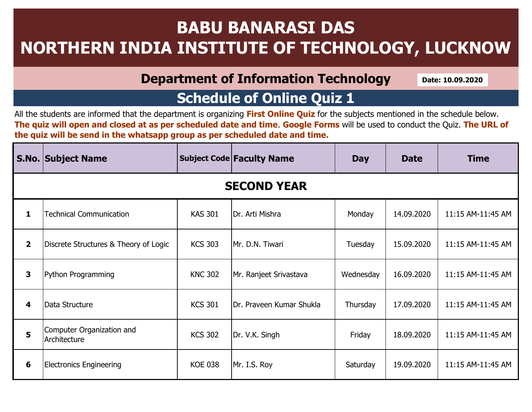## **BABU BANARASI DAS NORTHERN INDIA INSTITUTE OF TECHNOLOGY, LUCKNOW**

#### **Department of Information Technology**

**Date: 10.09.2020**

### **Schedule of Online Quiz 1**

|                         | <b>S.No. Subject Name</b>                 |                | <b>Subject Code Faculty Name</b> | <b>Day</b> | <b>Date</b> | <b>Time</b>       |  |  |  |  |  |
|-------------------------|-------------------------------------------|----------------|----------------------------------|------------|-------------|-------------------|--|--|--|--|--|
| <b>SECOND YEAR</b>      |                                           |                |                                  |            |             |                   |  |  |  |  |  |
| 1                       | <b>Technical Communication</b>            | <b>KAS 301</b> | Dr. Arti Mishra                  | Monday     | 14.09.2020  | 11:15 AM-11:45 AM |  |  |  |  |  |
| $\overline{\mathbf{2}}$ | Discrete Structures & Theory of Logic     | <b>KCS 303</b> | Mr. D.N. Tiwari                  | Tuesday    | 15.09.2020  | 11:15 AM-11:45 AM |  |  |  |  |  |
| $\mathbf{3}$            | Python Programming                        | <b>KNC 302</b> | Mr. Ranjeet Srivastava           | Wednesday  | 16.09.2020  | 11:15 AM-11:45 AM |  |  |  |  |  |
| 4                       | Data Structure                            | <b>KCS 301</b> | Dr. Praveen Kumar Shukla         | Thursday   | 17.09.2020  | 11:15 AM-11:45 AM |  |  |  |  |  |
| 5                       | Computer Organization and<br>Architecture | <b>KCS 302</b> | Dr. V.K. Singh                   | Friday     | 18.09.2020  | 11:15 AM-11:45 AM |  |  |  |  |  |
| 6                       | <b>Electronics Engineering</b>            | <b>KOE 038</b> | Mr. I.S. Roy                     | Saturday   | 19.09.2020  | 11:15 AM-11:45 AM |  |  |  |  |  |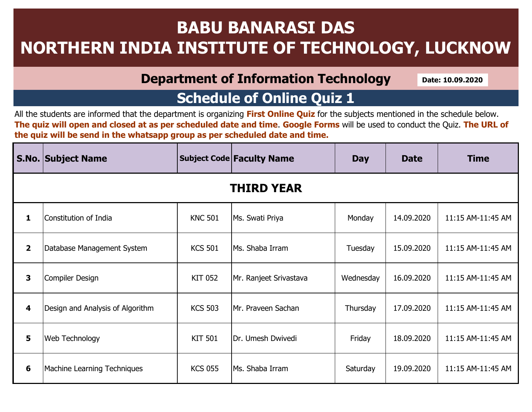## **BABU BANARASI DAS NORTHERN INDIA INSTITUTE OF TECHNOLOGY, LUCKNOW**

#### **Department of Information Technology**

**Date: 10.09.2020**

### **Schedule of Online Quiz 1**

|                         | <b>S.No. Subject Name</b>        | <b>Subject Code Faculty Name</b> |                        | <b>Day</b> | <b>Date</b> | <b>Time</b>       |  |  |  |  |  |
|-------------------------|----------------------------------|----------------------------------|------------------------|------------|-------------|-------------------|--|--|--|--|--|
| <b>THIRD YEAR</b>       |                                  |                                  |                        |            |             |                   |  |  |  |  |  |
| $\mathbf{1}$            | Constitution of India            | <b>KNC 501</b>                   | Ms. Swati Priya        | Monday     | 14.09.2020  | 11:15 AM-11:45 AM |  |  |  |  |  |
| $\overline{\mathbf{2}}$ | Database Management System       | <b>KCS 501</b>                   | Ms. Shaba Irram        | Tuesday    | 15.09.2020  | 11:15 AM-11:45 AM |  |  |  |  |  |
| 3                       | Compiler Design                  | <b>KIT 052</b>                   | Mr. Ranjeet Srivastava | Wednesday  | 16.09.2020  | 11:15 AM-11:45 AM |  |  |  |  |  |
| 4                       | Design and Analysis of Algorithm | <b>KCS 503</b>                   | Mr. Praveen Sachan     | Thursday   | 17.09.2020  | 11:15 AM-11:45 AM |  |  |  |  |  |
| 5                       | <b>Web Technology</b>            | <b>KIT 501</b>                   | Dr. Umesh Dwivedi      | Friday     | 18.09.2020  | 11:15 AM-11:45 AM |  |  |  |  |  |
| 6                       | Machine Learning Techniques      | <b>KCS 055</b>                   | Ms. Shaba Irram        | Saturday   | 19.09.2020  | 11:15 AM-11:45 AM |  |  |  |  |  |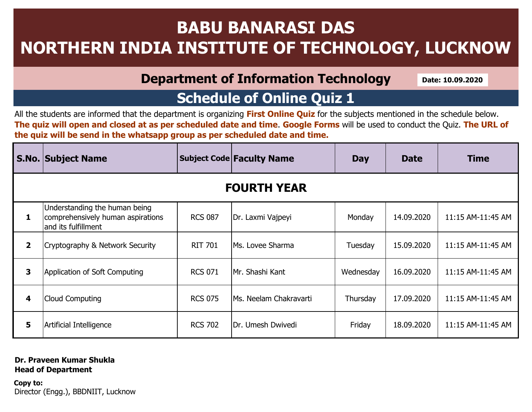## **BABU BANARASI DAS NORTHERN INDIA INSTITUTE OF TECHNOLOGY, LUCKNOW**

#### **Department of Information Technology**

**Date: 10.09.2020**

### **Schedule of Online Quiz 1**

All the students are informed that the department is organizing **First Online Quiz** for the subjects mentioned in the schedule below. **The quiz will open and closed at as per scheduled date and time**. **Google Forms** will be used to conduct the Quiz. **The URL of the quiz will be send in the whatsapp group as per scheduled date and time.** 

|                    | <b>S.No. Subject Name</b>                                                                 |                | <b>Subject Code Faculty Name</b> |           | <b>Date</b> | <b>Time</b>       |  |  |  |  |  |
|--------------------|-------------------------------------------------------------------------------------------|----------------|----------------------------------|-----------|-------------|-------------------|--|--|--|--|--|
| <b>FOURTH YEAR</b> |                                                                                           |                |                                  |           |             |                   |  |  |  |  |  |
| 1                  | Understanding the human being<br>comprehensively human aspirations<br>and its fulfillment | <b>RCS 087</b> | Dr. Laxmi Vajpeyi                | Monday    | 14.09.2020  | 11:15 AM-11:45 AM |  |  |  |  |  |
| $\overline{2}$     | Cryptography & Network Security                                                           | <b>RIT 701</b> | lMs. Lovee Sharma                | Tuesday   | 15.09.2020  | 11:15 AM-11:45 AM |  |  |  |  |  |
| 3                  | Application of Soft Computing                                                             | <b>RCS 071</b> | lMr. Shashi Kant                 | Wednesday | 16.09.2020  | 11:15 AM-11:45 AM |  |  |  |  |  |
| 4                  | <b>Cloud Computing</b>                                                                    | <b>RCS 075</b> | lMs. Neelam Chakravarti          | Thursday  | 17.09.2020  | 11:15 AM-11:45 AM |  |  |  |  |  |
| 5                  | Artificial Intelligence                                                                   | <b>RCS 702</b> | IDr. Umesh Dwivedi               | Friday    | 18.09.2020  | 11:15 AM-11:45 AM |  |  |  |  |  |

#### **Dr. Praveen Kumar Shukla Head of Department**

**Copy to:** Director (Engg.), BBDNIIT, Lucknow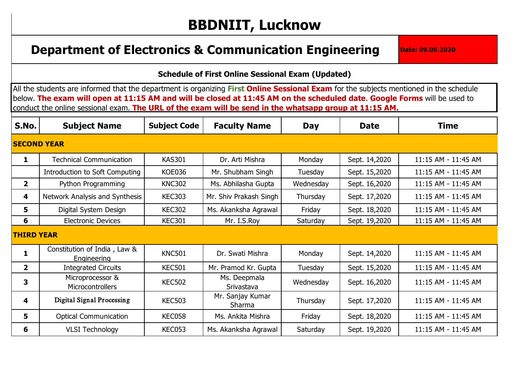## **BBDNIIT, Lucknow**

#### **Department of Electronics & Communication Engineering <b>Date:** 09.09.2020

#### **Schedule of First Online Sessional Exam (Updated)**

All the students are informed that the department is organizing First Online Sessional Exam for the subjects mentioned in the schedule below. The exam will open at 11:15 AM and will be closed at 11:45 AM on the scheduled date. Google Forms will be used to conduct the online sessional exam. **The URL of the exam will be send in the whatsapp group at 11:15 AM.**

| S.No.              | <b>Subject Name</b>                         | <b>Subject Code</b> | <b>Faculty Name</b>        | <b>Day</b> | <b>Date</b>   | <b>Time</b>         |
|--------------------|---------------------------------------------|---------------------|----------------------------|------------|---------------|---------------------|
| <b>SECOND YEAR</b> |                                             |                     |                            |            |               |                     |
| $\mathbf{1}$       | <b>Technical Communication</b>              | <b>KAS301</b>       | Dr. Arti Mishra            | Monday     | Sept. 14,2020 | 11:15 AM - 11:45 AM |
|                    | Introduction to Soft Computing              | <b>KOE036</b>       | Mr. Shubham Singh          | Tuesday    | Sept. 15,2020 | 11:15 AM - 11:45 AM |
| 2 <sup>1</sup>     | Python Programming                          | <b>KNC302</b>       | Ms. Abhilasha Gupta        | Wednesday  | Sept. 16,2020 | 11:15 AM - 11:45 AM |
| 4                  | Network Analysis and Synthesis              | <b>KEC303</b>       | Mr. Shiv Prakash Singh     | Thursday   | Sept. 17,2020 | 11:15 AM - 11:45 AM |
| 5                  | Digital System Design                       | <b>KEC302</b>       | Ms. Akanksha Agrawal       | Friday     | Sept. 18,2020 | 11:15 AM - 11:45 AM |
| 6                  | <b>Electronic Devices</b>                   | <b>KEC301</b>       | Mr. I.S.Roy                | Saturday   | Sept. 19,2020 | 11:15 AM - 11:45 AM |
| <b>THIRD YEAR</b>  |                                             |                     |                            |            |               |                     |
| $\mathbf{1}$       | Constitution of India, Law &<br>Engineering | <b>KNC501</b>       | Dr. Swati Mishra           | Monday     | Sept. 14,2020 | 11:15 AM - 11:45 AM |
| $\mathbf{2}$       | <b>Integrated Circuits</b>                  | <b>KEC501</b>       | Mr. Pramod Kr. Gupta       | Tuesday    | Sept. 15,2020 | 11:15 AM - 11:45 AM |
| 3                  | Microprocessor &<br>Microcontrollers        | <b>KEC502</b>       | Ms. Deepmala<br>Srivastava | Wednesday  | Sept. 16,2020 | 11:15 AM - 11:45 AM |
| 4                  | <b>Digital Signal Processing</b>            | <b>KEC503</b>       | Mr. Sanjay Kumar<br>Sharma | Thursday   | Sept. 17,2020 | 11:15 AM - 11:45 AM |
| 5                  | <b>Optical Communication</b>                | KEC058              | Ms. Ankita Mishra          | Friday     | Sept. 18,2020 | 11:15 AM - 11:45 AM |
| 6                  | <b>VLSI Technology</b>                      | <b>KEC053</b>       | Ms. Akanksha Agrawal       | Saturday   | Sept. 19,2020 | 11:15 AM - 11:45 AM |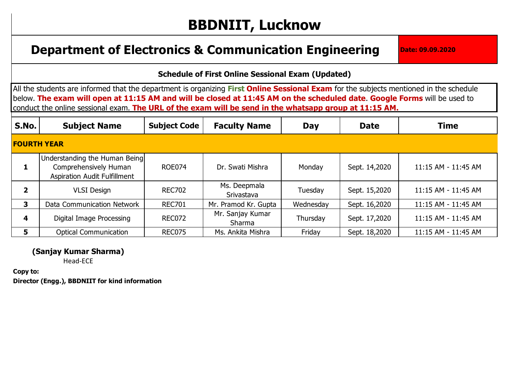## **BBDNIIT, Lucknow**

#### **Department of Electronics & Communication Engineering <b>Date:** 09.09.2020

#### **Schedule of First Online Sessional Exam (Updated)**

All the students are informed that the department is organizing First Online Sessional Exam for the subjects mentioned in the schedule below. The exam will open at 11:15 AM and will be closed at 11:45 AM on the scheduled date. Google Forms will be used to conduct the online sessional exam. **The URL of the exam will be send in the whatsapp group at 11:15 AM.**

| <b>S.No.</b>       | <b>Subject Name</b>                                                                           | <b>Subject Code</b> | <b>Faculty Name</b>        | Day       | <b>Date</b>   | <b>Time</b>         |  |  |  |
|--------------------|-----------------------------------------------------------------------------------------------|---------------------|----------------------------|-----------|---------------|---------------------|--|--|--|
| <b>FOURTH YEAR</b> |                                                                                               |                     |                            |           |               |                     |  |  |  |
|                    | Understanding the Human Being<br>Comprehensively Human<br><b>Aspiration Audit Fulfillment</b> | <b>ROE074</b>       | Dr. Swati Mishra           | Monday    | Sept. 14,2020 | 11:15 AM - 11:45 AM |  |  |  |
|                    | <b>VLSI Design</b>                                                                            | <b>REC702</b>       | Ms. Deepmala<br>Srivastava | Tuesday   | Sept. 15,2020 | 11:15 AM - 11:45 AM |  |  |  |
| 3                  | Data Communication Network                                                                    | <b>REC701</b>       | Mr. Pramod Kr. Gupta       | Wednesday | Sept. 16,2020 | 11:15 AM - 11:45 AM |  |  |  |
| 4                  | Digital Image Processing                                                                      | <b>REC072</b>       | Mr. Sanjay Kumar<br>Sharma | Thursday  | Sept. 17,2020 | 11:15 AM - 11:45 AM |  |  |  |
| 5.                 | <b>Optical Communication</b>                                                                  | <b>REC075</b>       | Ms. Ankita Mishra          | Friday    | Sept. 18,2020 | 11:15 AM - 11:45 AM |  |  |  |

#### **(Sanjay Kumar Sharma)**

Head-ECE

**Copy to: Director (Engg.), BBDNIIT for kind information**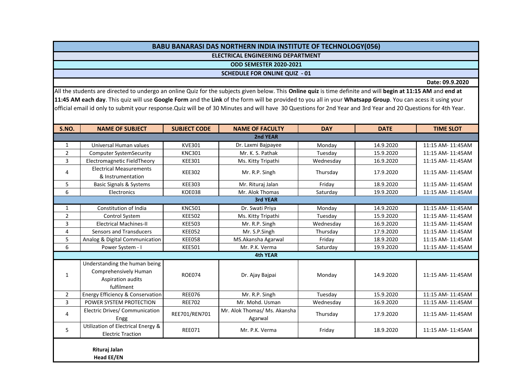#### **BABU BANARASI DAS NORTHERN INDIA INSTITUTE OF TECHNOLOGY(056)**

**ELECTRICAL ENGINEERING DEPARTMENT**

**ODD SEMESTER 2020-2021**

**SCHEDULE FOR ONLINE QUIZ - 01**

**Date: 09.9.2020**

All the students are directed to undergo an online Quiz for the subjects given below. This **Online quiz** is time definite and will **begin at 11:15 AM** and **end at 11:45 AM each day**. This quiz will use **Google Form** and the **Link** of the form will be provided to you all in your **Whatsapp Group**. You can acess it using your official email id only to submit your response.Quiz will be of 30 Minutes and will have 30 Questions for 2nd Year and 3rd Year and 20 Questions for 4th Year.

| S.NO.          | <b>NAME OF SUBJECT</b>                                                                    | <b>SUBJECT CODE</b> | <b>NAME OF FACULTY</b>                  | <b>DAY</b> | <b>DATE</b> | <b>TIME SLOT</b>  |  |  |  |
|----------------|-------------------------------------------------------------------------------------------|---------------------|-----------------------------------------|------------|-------------|-------------------|--|--|--|
|                |                                                                                           |                     | 2nd YEAR                                |            |             |                   |  |  |  |
| $\mathbf{1}$   | Universal Human values                                                                    | <b>KVE301</b>       | Dr. Laxmi Bajpayee                      | Monday     | 14.9.2020   | 11:15 AM- 11:45AM |  |  |  |
| $\overline{2}$ | <b>Computer SystemSecurity</b>                                                            | <b>KNC301</b>       | Mr. K. S. Pathak                        | Tuesday    | 15.9.2020   | 11:15 AM- 11:45AM |  |  |  |
| $\overline{3}$ | Electromagnetic FieldTheory                                                               | <b>KEE301</b>       | Ms. Kitty Tripathi                      | Wednesday  | 16.9.2020   | 11:15 AM- 11:45AM |  |  |  |
| 4              | <b>Electrical Measurements</b><br>& Instrumentation                                       | <b>KEE302</b>       | Mr. R.P. Singh                          | Thursday   | 17.9.2020   | 11:15 AM- 11:45AM |  |  |  |
| 5              | <b>Basic Signals &amp; Systems</b>                                                        | <b>KEE303</b>       | Mr. Rituraj Jalan                       | Friday     | 18.9.2020   | 11:15 AM- 11:45AM |  |  |  |
| 6              | Electronics                                                                               | <b>KOE038</b>       | Mr. Alok Thomas                         | Saturday   | 19.9.2020   | 11:15 AM- 11:45AM |  |  |  |
|                |                                                                                           |                     | <b>3rd YEAR</b>                         |            |             |                   |  |  |  |
| $\mathbf{1}$   | Constitution of India                                                                     | <b>KNC501</b>       | Dr. Swati Priya                         | Monday     | 14.9.2020   | 11:15 AM- 11:45AM |  |  |  |
| $\overline{2}$ | <b>Control System</b>                                                                     | <b>KEE502</b>       | Ms. Kitty Tripathi                      | Tuesday    | 15.9.2020   | 11:15 AM- 11:45AM |  |  |  |
| 3              | <b>Electrical Machines-II</b>                                                             | <b>KEE503</b>       | Mr. R.P. Singh                          | Wednesday  | 16.9.2020   | 11:15 AM- 11:45AM |  |  |  |
| $\overline{4}$ | <b>Sensors and Transducers</b>                                                            | <b>KEE052</b>       | Mr. S.P.Singh                           | Thursday   | 17.9.2020   | 11:15 AM- 11:45AM |  |  |  |
| 5              | Analog & Digital Communication                                                            | <b>KEE058</b>       | MS.Akansha Agarwal                      | Friday     | 18.9.2020   | 11:15 AM- 11:45AM |  |  |  |
| 6              | Power System - I                                                                          | <b>KEE501</b>       | Mr. P.K. Verma                          | Saturday   | 19.9.2020   | 11:15 AM- 11:45AM |  |  |  |
|                |                                                                                           |                     | 4th YEAR                                |            |             |                   |  |  |  |
| $\mathbf{1}$   | Understanding the human being<br>Comprehensively Human<br>Aspiration audits<br>fulfilment | <b>ROE074</b>       | Dr. Ajay Bajpai                         | Monday     | 14.9.2020   | 11:15 AM- 11:45AM |  |  |  |
| $\overline{2}$ | Energy Efficiency & Conservation                                                          | <b>REE076</b>       | Mr. R.P. Singh                          | Tuesday    | 15.9.2020   | 11:15 AM- 11:45AM |  |  |  |
| 3              | POWER SYSTEM PROTECTION                                                                   | <b>REE702</b>       | Mr. Mohd. Usman                         | Wednesday  | 16.9.2020   | 11:15 AM- 11:45AM |  |  |  |
| 4              | Electric Drives/ Communication<br>Engg                                                    | REE701/REN701       | Mr. Alok Thomas/ Ms. Akansha<br>Agarwal | Thursday   | 17.9.2020   | 11:15 AM- 11:45AM |  |  |  |
| 5              | Utilization of Electrical Energy &<br><b>Electric Traction</b>                            | <b>REE071</b>       | Mr. P.K. Verma                          | Friday     | 18.9.2020   | 11:15 AM- 11:45AM |  |  |  |
|                | Rituraj Jalan<br><b>Head EE/EN</b>                                                        |                     |                                         |            |             |                   |  |  |  |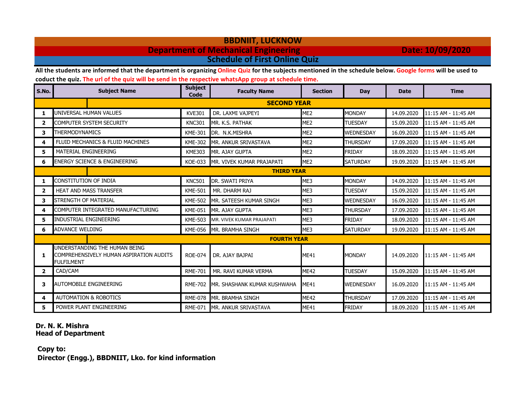#### **BBDNIIT, LUCKNOW Department of Mechanical Engineering Date: 10/09/2020 Schedule of First Online Quiz**

**All the students are informed that the department is organizing Online Quiz for the subjects mentioned in the schedule below. Google forms will be used to** 

**coduct the quiz. The url of the quiz will be send in the respective whatsApp group at schedule time.** 

| S.No.                   | <b>Subject Name</b>                                                                           | <b>Subject</b><br>Code | <b>Faculty Name</b>          | <b>Section</b>  | Day              | <b>Date</b> | <b>Time</b>         |  |  |
|-------------------------|-----------------------------------------------------------------------------------------------|------------------------|------------------------------|-----------------|------------------|-------------|---------------------|--|--|
|                         |                                                                                               |                        | <b>SECOND YEAR</b>           |                 |                  |             |                     |  |  |
| 1                       | UNIVERSAL HUMAN VALUES                                                                        | <b>KVE301</b>          | DR. LAXMI VAJPEYI            | ME <sub>2</sub> | <b>MONDAY</b>    | 14.09.2020  | 11:15 AM - 11:45 AM |  |  |
| $\overline{2}$          | COMPUTER SYSTEM SECURITY                                                                      | <b>KNC301</b>          | MR. K.S. PATHAK              | ME <sub>2</sub> | <b>TUESDAY</b>   | 15.09.2020  | 11:15 AM - 11:45 AM |  |  |
| 3                       | <b>THERMODYNAMICS</b>                                                                         | <b>KME-301</b>         | DR. N.K.MISHRA               | ME <sub>2</sub> | WEDNESDAY        | 16.09.2020  | 11:15 AM - 11:45 AM |  |  |
| 4                       | FLUID MECHANICS & FLUID MACHINES                                                              | <b>KME-302</b>         | MR. ANKUR SRIVASTAVA         | ME <sub>2</sub> | <b>THURSDAY</b>  | 17.09.2020  | 11:15 AM - 11:45 AM |  |  |
| 5                       | MATERIAL ENGINEERING                                                                          | <b>KME303</b>          | MR. AJAY GUPTA               | ME <sub>2</sub> | <b>FRIDAY</b>    | 18.09.2020  | 11:15 AM - 11:45 AM |  |  |
| 6                       | <b>ENERGY SCIENCE &amp; ENGINEERING</b>                                                       | <b>KOE-033</b>         | MR. VIVEK KUMAR PRAJAPATI    | ME <sub>2</sub> | <b>SATURDAY</b>  | 19.09.2020  | 11:15 AM - 11:45 AM |  |  |
|                         | <b>THIRD YEAR</b>                                                                             |                        |                              |                 |                  |             |                     |  |  |
| 1                       | CONSTITUTION OF INDIA                                                                         | <b>KNC501</b>          | DR. SWATI PRIYA              | ME3             | <b>MONDAY</b>    | 14.09.2020  | 11:15 AM - 11:45 AM |  |  |
| $\overline{\mathbf{2}}$ | <b>HEAT AND MASS TRANSFER</b>                                                                 | <b>KME-501</b>         | MR. DHARM RAJ                | ME3             | <b>TUESDAY</b>   | 15.09.2020  | 11:15 AM - 11:45 AM |  |  |
| 3                       | <b>STRENGTH OF MATERIAL</b>                                                                   | <b>KME-502</b>         | MR. SATEESH KUMAR SINGH      | ME3             | <b>WEDNESDAY</b> | 16.09.2020  | 11:15 AM - 11:45 AM |  |  |
| 4                       | COMPUTER INTEGRATED MANUFACTURING                                                             | <b>KME-051</b>         | MR. AJAY GUPTA               | ME3             | <b>THURSDAY</b>  | 17.09.2020  | 11:15 AM - 11:45 AM |  |  |
| 5                       | INDUSTRIAL ENGINEERING                                                                        | <b>KME-503</b>         | MR. VIVEK KUMAR PRAJAPATI    | ME3             | <b>FRIDAY</b>    | 18.09.2020  | 11:15 AM - 11:45 AM |  |  |
| 6                       | <b>ADVANCE WELDING</b>                                                                        | <b>KME-056</b>         | MR. BRAMHA SINGH             | ME3             | <b>SATURDAY</b>  | 19.09.2020  | 11:15 AM - 11:45 AM |  |  |
|                         |                                                                                               |                        | <b>FOURTH YEAR</b>           |                 |                  |             |                     |  |  |
| 1                       | UNDERSTANDING THE HUMAN BEING<br>COMPREHENSIVELY HUMAN ASPIRATION AUDITS<br><b>FULFILMENT</b> | <b>ROE-074</b>         | DR. AJAY BAJPAI              | ME41            | <b>MONDAY</b>    | 14.09.2020  | 11:15 AM - 11:45 AM |  |  |
| $\mathbf{2}$            | CAD/CAM                                                                                       | <b>RME-701</b>         | MR. RAVI KUMAR VERMA         | <b>ME42</b>     | <b>TUESDAY</b>   | 15.09.2020  | 11:15 AM - 11:45 AM |  |  |
| 3                       | <b>AUTOMOBILE ENGINEERING</b>                                                                 | <b>RME-702</b>         | MR. SHASHANK KUMAR KUSHWAHA  | ME41            | <b>WEDNESDAY</b> | 16.09.2020  | 11:15 AM - 11:45 AM |  |  |
| 4                       | <b>AUTOMATION &amp; ROBOTICS</b>                                                              | <b>RME-078</b>         | MR. BRAMHA SINGH             | <b>ME42</b>     | <b>THURSDAY</b>  | 17.09.2020  | 11:15 AM - 11:45 AM |  |  |
| 5.                      | POWER PLANT ENGINEERING                                                                       |                        | RME-071 MR. ANKUR SRIVASTAVA | ME41            | <b>FRIDAY</b>    | 18.09.2020  | 11:15 AM - 11:45 AM |  |  |

#### **Dr. N. K. Mishra Head of Department**

 **Copy to: Director (Engg.), BBDNIIT, Lko. for kind information**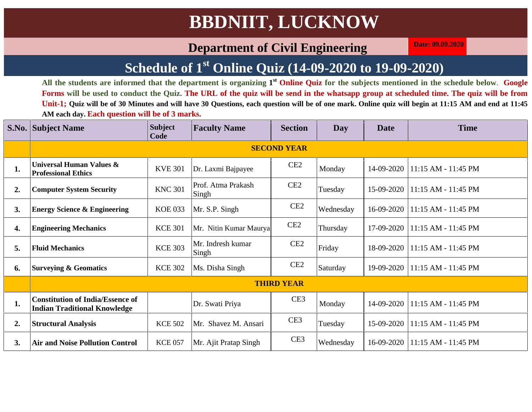#### **Department of Civil Engineering Date:**  $09.09.2020$

### **Schedule of 1 st Online Quiz (14-09-2020 to 19-09-2020)**

**All the students are informed that the department is organizing 1 st Online Quiz for the subjects mentioned in the schedule below**. **Google Forms will be used to conduct the Quiz. The URL of the quiz will be send in the whatsapp group at scheduled time. The quiz will be from Unit-1; Quiz will be of 30 Minutes and will have 30 Questions, each question will be of one mark. Online quiz will begin at 11:15 AM and end at 11:45 AM each day. Each question will be of 3 marks.**

|    | <b>S.No. Subject Name</b>                                                      | <b>Subject</b><br>Code | <b>Faculty Name</b>         | <b>Section</b>     | Day       | <b>Date</b> | <b>Time</b>         |
|----|--------------------------------------------------------------------------------|------------------------|-----------------------------|--------------------|-----------|-------------|---------------------|
|    |                                                                                |                        |                             | <b>SECOND YEAR</b> |           |             |                     |
| 1. | Universal Human Values &<br><b>Professional Ethics</b>                         | <b>KVE 301</b>         | Dr. Laxmi Bajpayee          | CE2                | Monday    | 14-09-2020  | 11:15 AM - 11:45 PM |
| 2. | <b>Computer System Security</b>                                                | <b>KNC 301</b>         | Prof. Atma Prakash<br>Singh | CE2                | Tuesday   | 15-09-2020  | 11:15 AM - 11:45 PM |
| 3. | <b>Energy Science &amp; Engineering</b>                                        | <b>KOE 033</b>         | Mr. S.P. Singh              | CE2                | Wednesday | 16-09-2020  | 11:15 AM - 11:45 PM |
| 4. | <b>Engineering Mechanics</b>                                                   | <b>KCE 301</b>         | Mr. Nitin Kumar Maurya      | CE2                | Thursday  | 17-09-2020  | 11:15 AM - 11:45 PM |
| 5. | <b>Fluid Mechanics</b>                                                         | <b>KCE 303</b>         | Mr. Indresh kumar<br>Singh  | CE2                | Friday    | 18-09-2020  | 11:15 AM - 11:45 PM |
| 6. | <b>Surveying &amp; Geomatics</b>                                               | <b>KCE 302</b>         | Ms. Disha Singh             | CE2                | Saturday  | 19-09-2020  | 11:15 AM - 11:45 PM |
|    |                                                                                |                        |                             | <b>THIRD YEAR</b>  |           |             |                     |
| 1. | <b>Constitution of India/Essence of</b><br><b>Indian Traditional Knowledge</b> |                        | Dr. Swati Priya             | CE <sub>3</sub>    | Monday    | 14-09-2020  | 11:15 AM - 11:45 PM |
| 2. | <b>Structural Analysis</b>                                                     | <b>KCE 502</b>         | Mr. Shavez M. Ansari        | CE <sub>3</sub>    | Tuesday   | 15-09-2020  | 11:15 AM - 11:45 PM |
| 3. | <b>Air and Noise Pollution Control</b>                                         | <b>KCE 057</b>         | Mr. Ajit Pratap Singh       | CE <sub>3</sub>    | Wednesday | 16-09-2020  | 11:15 AM - 11:45 PM |